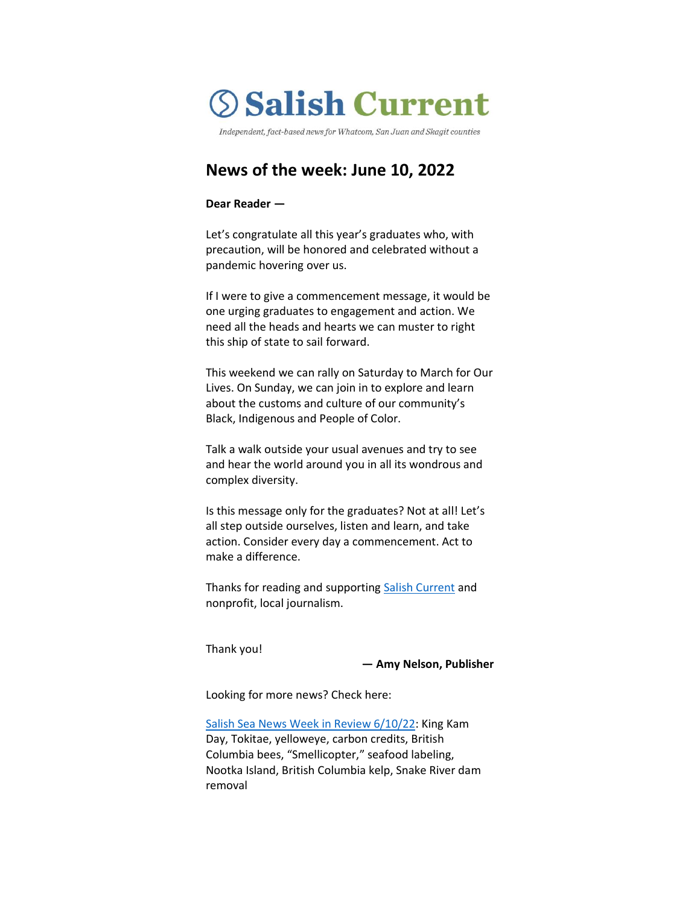

Independent, fact-based news for Whatcom, San Juan and Skagit counties

# **News of the week: June 10, 2022**

# **Dear Reader —**

Let's congratulate all this year's graduates who, with precaution, will be honored and celebrated without a pandemic hovering over us.

If I were to give a commencement message, it would be one urging graduates to engagement and action. We need all the heads and hearts we can muster to right this ship of state to sail forward.

This weekend we can rally on Saturday to March for Our Lives. On Sunday, we can join in to explore and learn about the customs and culture of our community's Black, Indigenous and People of Color.

Talk a walk outside your usual avenues and try to see and hear the world around you in all its wondrous and complex diversity.

Is this message only for the graduates? Not at all! Let's all step outside ourselves, listen and learn, and take action. Consider every day a commencement. Act to make a difference.

Thanks for reading and supporting [Salish Current](https://salish-current.org/donate) and nonprofit, local journalism.

Thank you!

**— Amy Nelson, Publisher**

Looking for more news? Check here:

[Salish Sea News Week in Review 6/10/22:](https://bit.ly/3NEkta5) King Kam Day, Tokitae, yelloweye, carbon credits, British Columbia bees, "Smellicopter," seafood labeling, Nootka Island, British Columbia kelp, Snake River dam removal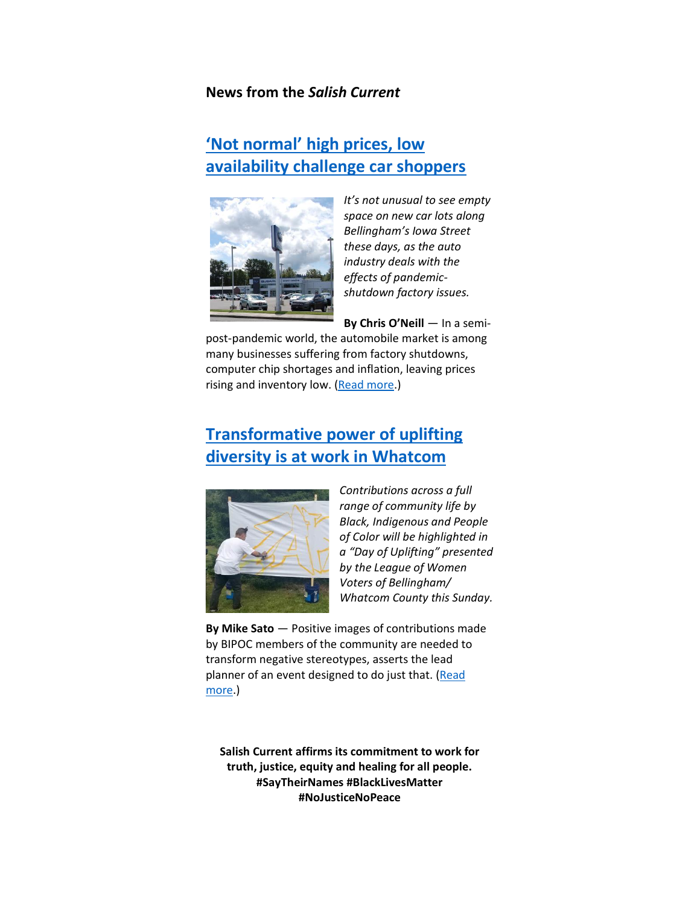# **News from the** *Salish Current*

# **['Not normal' high prices, low](https://salish-current.org/2022/06/10/not-normal-high-prices-low-availability-challenge-car-shoppers/)  [availability challenge car shoppers](https://salish-current.org/2022/06/10/not-normal-high-prices-low-availability-challenge-car-shoppers/)**



*It's not unusual to see empty space on new car lots along Bellingham's Iowa Street these days, as the auto industry deals with the effects of pandemicshutdown factory issues.*

**By Chris O'Neill** — In a semi-

post-pandemic world, the automobile market is among many businesses suffering from factory shutdowns, computer chip shortages and inflation, leaving prices rising and inventory low. [\(Read more.](https://salish-current.org/2022/06/10/not-normal-high-prices-low-availability-challenge-car-shoppers/))

# **[Transformative power of uplifting](https://salish-current.org/2022/06/10/transformative-power-of-uplifting-diversity/)  [diversity is at work in Whatcom](https://salish-current.org/2022/06/10/transformative-power-of-uplifting-diversity/)**



*Contributions across a full range of community life by Black, Indigenous and People of Color will be highlighted in a "Day of Uplifting" presented by the League of Women Voters of Bellingham/ Whatcom County this Sunday.* 

**By Mike Sato** — Positive images of contributions made by BIPOC members of the community are needed to transform negative stereotypes, asserts the lead planner of an event designed to do just that. (Read [more.](https://salish-current.org/2022/06/10/transformative-power-of-uplifting-diversity/))

**Salish Current affirms its commitment to work for truth, justice, equity and healing for all people. #SayTheirNames #BlackLivesMatter #NoJusticeNoPeace**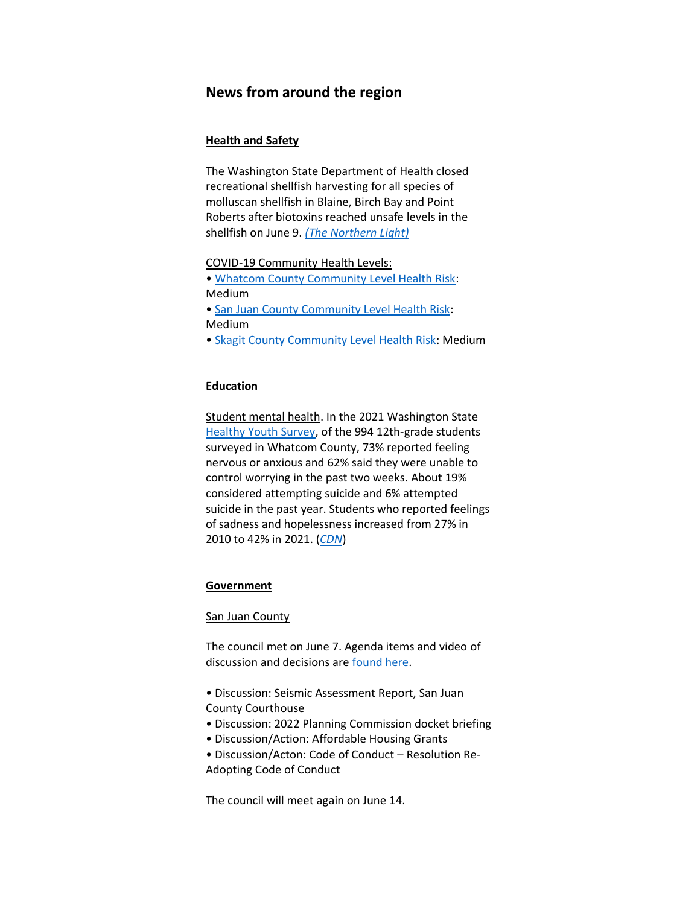# **News from around the region**

# **Health and Safety**

The Washington State Department of Health closed recreational shellfish harvesting for all species of molluscan shellfish in Blaine, Birch Bay and Point Roberts after biotoxins reached unsafe levels in the shellfish on June 9. *[\(The Northern Light\)](https://www.thenorthernlight.com/stories/recreational-shellfish-harvest-closure-in-effect-in-north-county-commercial-remains-safe-to-eat,20264?)*

COVID-19 Community Health Levels:

• [Whatcom County Community Level Health Risk:](https://covidactnow.org/us/washington-wa/county/whatcom_county/?s=32682088) Medium

• [San Juan County Community Level Health Risk:](https://covidactnow.org/us/washington-wa/county/san_juan_county/?s=32682088) Medium

• [Skagit County Community Level Health Risk:](https://covidactnow.org/us/washington-wa/county/skagit_county/?s=32682088) Medium

### **Education**

Student mental health. In the 2021 Washington State [Healthy Youth Survey,](https://www.askhys.net/FactSheets) of the 994 12th-grade students surveyed in Whatcom County, 73% reported feeling nervous or anxious and 62% said they were unable to control worrying in the past two weeks. About 19% considered attempting suicide and 6% attempted suicide in the past year. Students who reported feelings of sadness and hopelessness increased from 27% in 2010 to 42% in 2021. (*[CDN](https://www.cascadiadaily.com/news/2022/jun/08/whatcom-schools-grapple-with-student-mental-health/)*)

# **Government**

### San Juan County

The council met on June 7. Agenda items and video of discussion and decisions are [found here.](https://media.avcaptureall.cloud/meeting/c076ed09-48b3-4c1b-88cf-250b913a21f9)

- Discussion: Seismic Assessment Report, San Juan County Courthouse
- Discussion: 2022 Planning Commission docket briefing
- Discussion/Action: Affordable Housing Grants
- Discussion/Acton: Code of Conduct Resolution Re-

Adopting Code of Conduct

The council will meet again on June 14.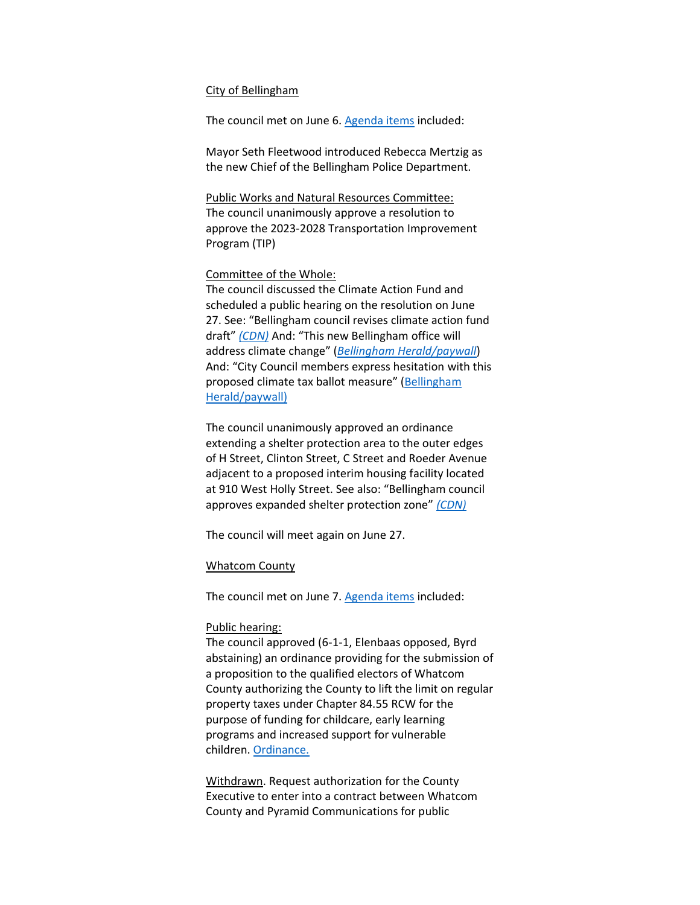#### City of Bellingham

The council met on June 6[. Agenda items](https://meetings.cob.org/Meetings/ViewMeeting?id=2698&doctype=3) included:

Mayor Seth Fleetwood introduced Rebecca Mertzig as the new Chief of the Bellingham Police Department.

Public Works and Natural Resources Committee: The council unanimously approve a resolution to approve the 2023-2028 Transportation Improvement Program (TIP)

#### Committee of the Whole:

The council discussed the Climate Action Fund and scheduled a public hearing on the resolution on June 27. See: "Bellingham council revises climate action fund draft" *[\(CDN\)](https://www.cascadiadaily.com/news/2022/jun/07/bellingham-council-revises-climate-action-fund-draft/)* And: "This new Bellingham office will address climate change" (*[Bellingham Herald/paywall](https://www.bellinghamherald.com/news/local/article262223182.html)*) And: "City Council members express hesitation with this proposed climate tax ballot measure" ([Bellingham](https://www.bellinghamherald.com/news/politics-government/article262223137.html)  [Herald/paywall\)](https://www.bellinghamherald.com/news/politics-government/article262223137.html)

The council unanimously approved an ordinance extending a shelter protection area to the outer edges of H Street, Clinton Street, C Street and Roeder Avenue adjacent to a proposed interim housing facility located at 910 West Holly Street. See also: "Bellingham council approves expanded shelter protection zone" *[\(CDN\)](https://www.cascadiadaily.com/news/2022/jun/07/bellingham-council-approves-expanded-shelter-protection-zone/)*

The council will meet again on June 27.

#### Whatcom County

The council met on June 7[. Agenda items](https://whatcom.legistar.com/View.ashx?M=E2&ID=899909&GUID=872C0FF3-E9BE-428C-B922-ED75321BDDFD) included:

#### Public hearing:

The council approved (6-1-1, Elenbaas opposed, Byrd abstaining) an ordinance providing for the submission of a proposition to the qualified electors of Whatcom County authorizing the County to lift the limit on regular property taxes under Chapter 84.55 RCW for the purpose of funding for childcare, early learning programs and increased support for vulnerable children[. Ordinance.](https://whatcom.legistar.com/View.ashx?M=F&ID=10918708&GUID=58AD7E23-683F-4145-8535-D7D14FDD0F5B)

Withdrawn. Request authorization for the County Executive to enter into a contract between Whatcom County and Pyramid Communications for public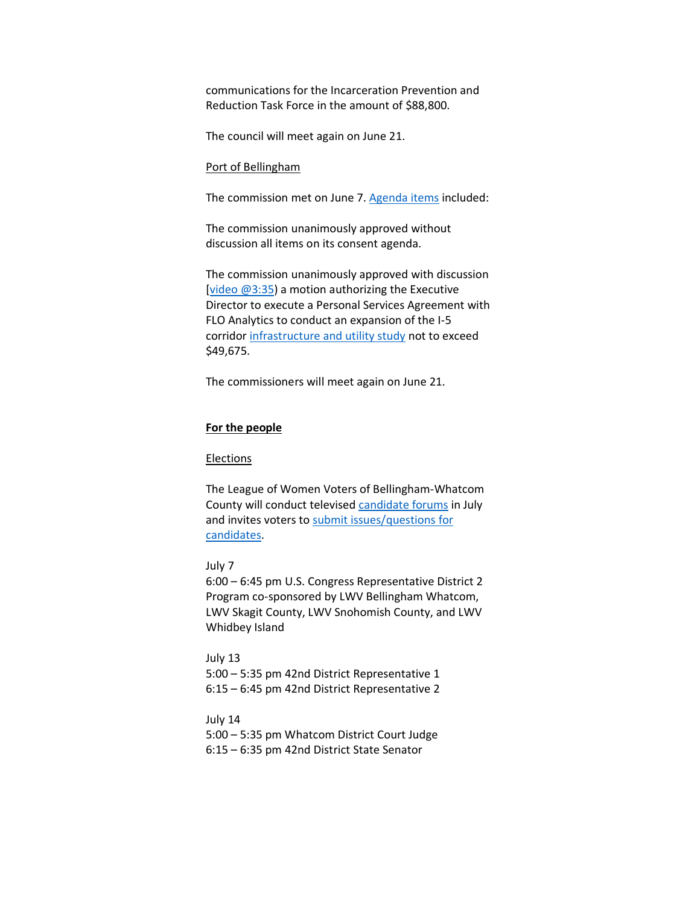communications for the Incarceration Prevention and Reduction Task Force in the amount of \$88,800.

The council will meet again on June 21.

#### Port of Bellingham

The commission met on June 7. [Agenda items](https://www.portofbellingham.com/AgendaCenter/ViewFile/Agenda/_06072022-516) included:

The commission unanimously approved without discussion all items on its consent agenda.

The commission unanimously approved with discussion [video  $@3:35$ ] a motion authorizing the Executive Director to execute a Personal Services Agreement with FLO Analytics to conduct an expansion of the I-5 corridor [infrastructure and utility study](https://www.portofbellingham.com/DocumentCenter/View/11598/1) not to exceed \$49,675.

The commissioners will meet again on June 21.

# **For the people**

# Elections

The League of Women Voters of Bellingham-Whatcom County will conduct televise[d candidate forums](https://www.lwvbellinghamwhatcom.org/) in July and invites voters to submit issues/questions for [candidates.](https://docs.google.com/forms/d/e/1FAIpQLSfe6ns3gekVyS15g7jqHhH7FicgBP3MmiXZ43DNvS3opubZiA/viewform)

#### July 7

6:00 – 6:45 pm U.S. Congress Representative District 2 Program co-sponsored by LWV Bellingham Whatcom, LWV Skagit County, LWV Snohomish County, and LWV Whidbey Island

July 13 5:00 – 5:35 pm 42nd District Representative 1 6:15 – 6:45 pm 42nd District Representative 2

July 14 5:00 – 5:35 pm Whatcom District Court Judge 6:15 – 6:35 pm 42nd District State Senator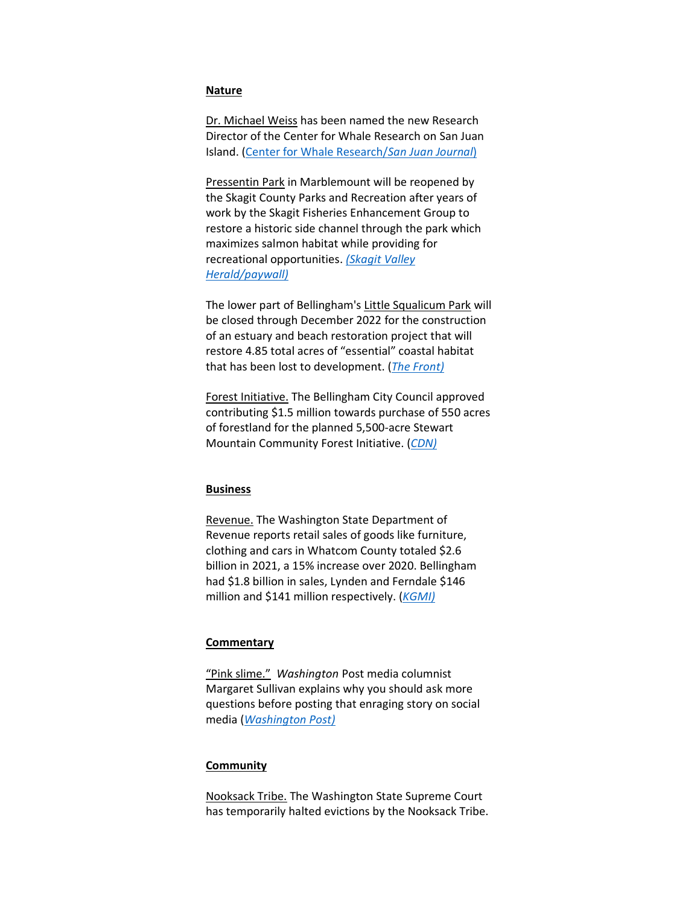#### **Nature**

Dr. Michael Weiss has been named the new Research Director of the Center for Whale Research on San Juan Island. [\(Center for Whale Research/](https://www.sanjuanjournal.com/life/dr-michael-weiss-named-new-cwr-research-director/)*San Juan Journal*)

Pressentin Park in Marblemount will be reopened by the Skagit County Parks and Recreation after years of work by the Skagit Fisheries Enhancement Group to restore a historic side channel through the park which maximizes salmon habitat while providing for recreational opportunities. *[\(Skagit Valley](https://www.goskagit.com/news/environment/pressentin-park-ribbon-cutting-set-for-friday/article_580e2175-6328-5573-b18f-bc6415ccec05.html)  [Herald/paywall\)](https://www.goskagit.com/news/environment/pressentin-park-ribbon-cutting-set-for-friday/article_580e2175-6328-5573-b18f-bc6415ccec05.html)*

The lower part of Bellingham's Little Squalicum Park will be closed through December 2022 for the construction of an estuary and beach restoration project that will restore 4.85 total acres of "essential" coastal habitat that has been lost to development. (*[The Front\)](https://www.westernfrontonline.com/article/2022/06/restoration-of-a-downtown-coastal-habitat-starts-this-june)*

Forest Initiative. The Bellingham City Council approved contributing \$1.5 million towards purchase of 550 acres of forestland for the planned 5,500-acre Stewart Mountain Community Forest Initiative. (*[CDN\)](https://www.cascadiadaily.com/news/2022/jun/08/county-council-OKs-15-million-55-acre-land-purchase/)*

# **Business**

Revenue. The Washington State Department of Revenue reports retail sales of goods like furniture, clothing and cars in Whatcom County totaled \$2.6 billion in 2021, a 15% increase over 2020. Bellingham had \$1.8 billion in sales, Lynden and Ferndale \$146 million and \$141 million respectively. (*[KGMI\)](https://kgmi.com/news/007700-retail-sales-in-whatcom-county-surged-in-2021/)*

#### **Commentary**

"Pink slime." *Washington* Post media columnist Margaret Sullivan explains why you should ask more questions before posting that enraging story on social media (*[Washington Post\)](https://www.washingtonpost.com/media/2022/06/05/pink-slime-west-cook-news-school-race-grading/)*

### **Community**

Nooksack Tribe. The Washington State Supreme Court has temporarily halted evictions by the Nooksack Tribe.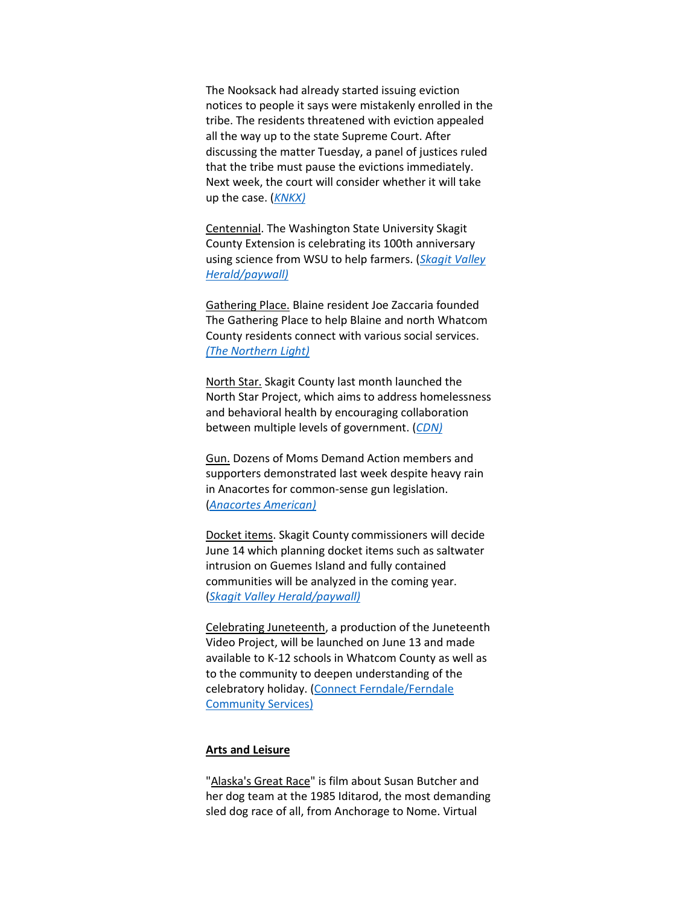The Nooksack had already started issuing eviction notices to people it says were mistakenly enrolled in the tribe. The residents threatened with eviction appealed all the way up to the state Supreme Court. After discussing the matter Tuesday, a panel of justices ruled that the tribe must pause the evictions immediately. Next week, the court will consider whether it will take up the case. (*[KNKX\)](https://www.knkx.org/social-justice/2022-06-07/a-decadelong-battle-over-nooksack-tribal-housing-reaches-washington-state-supreme-court)*

Centennial. The Washington State University Skagit County Extension is celebrating its 100th anniversary using science from WSU to help farmers. (*[Skagit Valley](https://www.goskagit.com/growskagit/skagit-county-extension-celebrates-100-years/article_f45da492-4734-551d-bf6c-62cc4f189d73.html)  [Herald/paywall\)](https://www.goskagit.com/growskagit/skagit-county-extension-celebrates-100-years/article_f45da492-4734-551d-bf6c-62cc4f189d73.html)*

Gathering Place. Blaine resident Joe Zaccaria founded The Gathering Place to help Blaine and north Whatcom County residents connect with various social services. *[\(The Northern Light\)](https://www.thenorthernlight.com/stories/the-gathering-place-offers-social-services-to-blaine,20209?)*

North Star. Skagit County last month launched the North Star Project, which aims to address homelessness and behavioral health by encouraging collaboration between multiple levels of government. (*[CDN\)](https://www.cascadiadaily.com/news/2022/jun/04/skagit-county-launches-new-project-to-tackle-homelessness/)*

Gun. Dozens of Moms Demand Action members and supporters demonstrated last week despite heavy rain in Anacortes for common-sense gun legislation. (*[Anacortes American\)](https://www.goskagit.com/anacortes/news/moms-group-demonstrates-to-push-for-gun-legislation/article_31d140ea-e6ac-11ec-8bcb-37604d9cbd98.html)*

Docket items. Skagit County commissioners will decide June 14 which planning docket items such as saltwater intrusion on Guemes Island and fully contained communities will be analyzed in the coming year. (*[Skagit Valley Herald/paywall\)](https://www.goskagit.com/news/local_news/skagit-county-board-of-commissioners-hears-from-comp-plan-petitioners/article_e1f1608f-0579-57d0-a2be-e54a30f3fa93.html)*

Celebrating Juneteenth, a production of the Juneteenth Video Project, will be launched on June 13 and made available to K-12 schools in Whatcom County as well as to the community to deepen understanding of the celebratory holiday. [\(Connect Ferndale/Ferndale](https://www.whatcomtalk.com/2022/05/20/connect-ferndale-launches-juneteenth-video-project/)  [Community Services\)](https://www.whatcomtalk.com/2022/05/20/connect-ferndale-launches-juneteenth-video-project/)

### **Arts and Leisure**

"Alaska's Great Race" is film about Susan Butcher and her dog team at the 1985 Iditarod, the most demanding sled dog race of all, from Anchorage to Nome. Virtual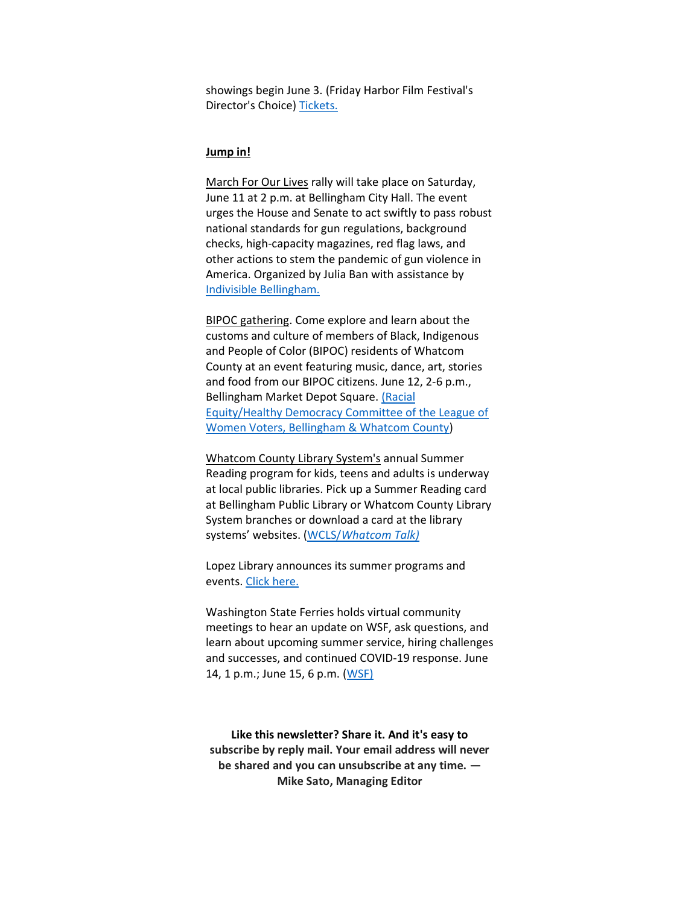showings begin June 3. (Friday Harbor Film Festival's Director's Choice[\) Tickets.](https://watch.eventive.org/fhff-director-series/play/62620054246773004c476887)

### **Jump in!**

March For Our Lives rally will take place on Saturday, June 11 at 2 p.m. at Bellingham City Hall. The event urges the House and Senate to act swiftly to pass robust national standards for gun regulations, background checks, high-capacity magazines, red flag laws, and other actions to stem the pandemic of gun violence in America. Organized by Julia Ban with assistance by [Indivisible Bellingham.](https://indivisiblebellingham.org/events/)

BIPOC gathering. Come explore and learn about the customs and culture of members of Black, Indigenous and People of Color (BIPOC) residents of Whatcom County at an event featuring music, dance, art, stories and food from our BIPOC citizens. June 12, 2-6 p.m., Bellingham Market Depot Square. [\(Racial](https://www.lwvbellinghamwhatcom.org/content.aspx?page_id=4002&club_id=209672&item_id=1715919&event_date_id=255)  [Equity/Healthy Democracy Committee of the League of](https://www.lwvbellinghamwhatcom.org/content.aspx?page_id=4002&club_id=209672&item_id=1715919&event_date_id=255)  [Women Voters, Bellingham & Whatcom County\)](https://www.lwvbellinghamwhatcom.org/content.aspx?page_id=4002&club_id=209672&item_id=1715919&event_date_id=255)

Whatcom County Library System's annual Summer Reading program for kids, teens and adults is underway at local public libraries. Pick up a Summer Reading card at Bellingham Public Library or Whatcom County Library System branches or download a card at the library systems' websites. (WCLS/*[Whatcom Talk\)](https://www.whatcomtalk.com/2022/06/07/libraries-kick-off-annual-summer-reading-program/)*

Lopez Library announces its summer programs and events. [Click here.](https://heyzine.com/flip-book/3c0ce416f4.html)

Washington State Ferries holds virtual community meetings to hear an update on WSF, ask questions, and learn about upcoming summer service, hiring challenges and successes, and continued COVID-19 response. June 14, 1 p.m.; June 15, 6 p.m. [\(WSF\)](https://wsdot.wa.gov/travel/washington-state-ferries/about-us/community-participation)

**Like this newsletter? Share it. And it's easy to subscribe by reply mail. Your email address will never be shared and you can unsubscribe at any time. — Mike Sato, Managing Editor**